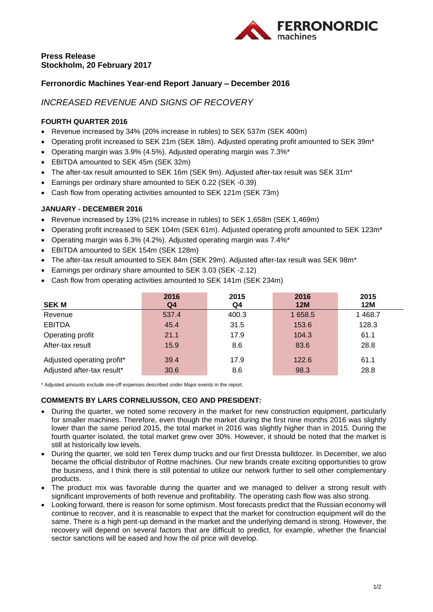

# **Press Release Stockholm, 20 February 2017**

# **Ferronordic Machines Year-end Report January – December 2016**

# *INCREASED REVENUE AND SIGNS OF RECOVERY*

### **FOURTH QUARTER 2016**

- Revenue increased by 34% (20% increase in rubles) to SEK 537m (SEK 400m)
- Operating profit increased to SEK 21m (SEK 18m). Adjusted operating profit amounted to SEK 39m\*
- Operating margin was 3.9% (4.5%). Adjusted operating margin was 7.3%\*
- EBITDA amounted to SEK 45m (SEK 32m)
- The after-tax result amounted to SEK 16m (SEK 9m). Adjusted after-tax result was SEK 31m<sup>\*</sup>
- Earnings per ordinary share amounted to SEK 0.22 (SEK -0.39)
- Cash flow from operating activities amounted to SEK 121m (SEK 73m)

## **JANUARY - DECEMBER 2016**

- Revenue increased by 13% (21% increase in rubles) to SEK 1,658m (SEK 1,469m)
- Operating profit increased to SEK 104m (SEK 61m). Adjusted operating profit amounted to SEK 123m\*
- Operating margin was 6.3% (4.2%). Adjusted operating margin was 7.4%\*
- EBITDA amounted to SEK 154m (SEK 128m)
- The after-tax result amounted to SEK 84m (SEK 29m). Adjusted after-tax result was SEK 98m\*
- Earnings per ordinary share amounted to SEK 3.03 (SEK -2.12)
- Cash flow from operating activities amounted to SEK 141m (SEK 234m)

|                            | 2016  | 2015  | 2016       | 2015     |
|----------------------------|-------|-------|------------|----------|
| <b>SEK M</b>               | Q4    | Q4    | <b>12M</b> | 12M      |
| Revenue                    | 537.4 | 400.3 | 1658.5     | 1 4 68.7 |
| <b>EBITDA</b>              | 45.4  | 31.5  | 153.6      | 128.3    |
| Operating profit           | 21.1  | 17.9  | 104.3      | 61.1     |
| After-tax result           | 15.9  | 8.6   | 83.6       | 28.8     |
| Adjusted operating profit* | 39.4  | 17.9  | 122.6      | 61.1     |
| Adjusted after-tax result* | 30.6  | 8.6   | 98.3       | 28.8     |

\* Adjusted amounts exclude one-off expenses described under Major events in the report.

### **COMMENTS BY LARS CORNELIUSSON, CEO AND PRESIDENT:**

- During the quarter, we noted some recovery in the market for new construction equipment. particularly for smaller machines. Therefore, even though the market during the first nine months 2016 was slightly lower than the same period 2015, the total market in 2016 was slightly higher than in 2015. During the fourth quarter isolated, the total market grew over 30%. However, it should be noted that the market is still at historically low levels.
- During the quarter, we sold ten Terex dump trucks and our first Dressta bulldozer. In December, we also became the official distributor of Rottne machines. Our new brands create exciting opportunities to grow the business, and I think there is still potential to utilize our network further to sell other complementary products.
- The product mix was favorable during the quarter and we managed to deliver a strong result with significant improvements of both revenue and profitability. The operating cash flow was also strong.
- Looking forward, there is reason for some optimism. Most forecasts predict that the Russian economy will continue to recover, and it is reasonable to expect that the market for construction equipment will do the same. There is a high pent-up demand in the market and the underlying demand is strong. However, the recovery will depend on several factors that are difficult to predict, for example, whether the financial sector sanctions will be eased and how the oil price will develop.